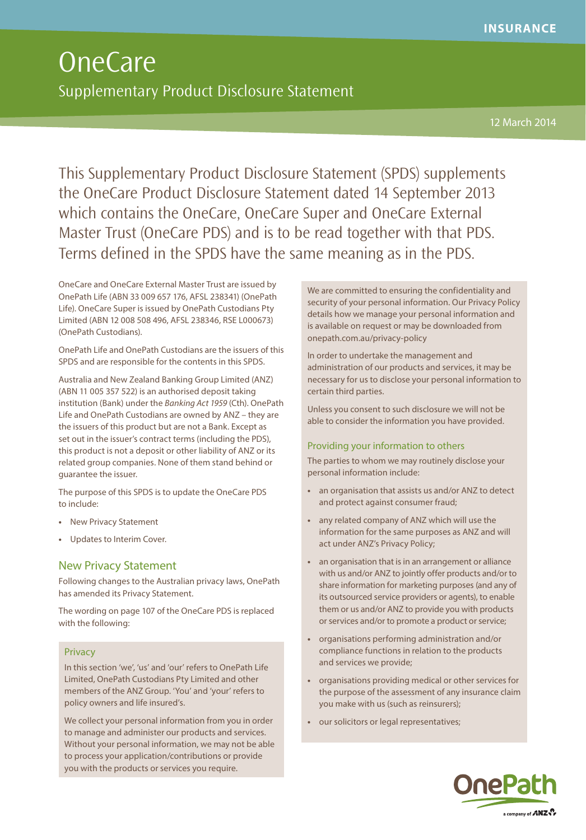# OneCare Supplementary Product Disclosure Statement

12 March 2014

This Supplementary Product Disclosure Statement (SPDS) supplements the OneCare Product Disclosure Statement dated 14 September 2013 which contains the OneCare, OneCare Super and OneCare External Master Trust (OneCare PDS) and is to be read together with that PDS. Terms defined in the SPDS have the same meaning as in the PDS.

OneCare and OneCare External Master Trust are issued by OnePath Life (ABN 33 009 657 176, AFSL 238341) (OnePath Life). OneCare Super is issued by OnePath Custodians Pty Limited (ABN 12 008 508 496, AFSL 238346, RSE L000673) (OnePath Custodians).

OnePath Life and OnePath Custodians are the issuers of this SPDS and are responsible for the contents in this SPDS.

Australia and New Zealand Banking Group Limited (ANZ) (ABN 11 005 357 522) is an authorised deposit taking institution (Bank) under the Banking Act 1959 (Cth). OnePath Life and OnePath Custodians are owned by ANZ – they are the issuers of this product but are not a Bank. Except as set out in the issuer's contract terms (including the PDS), this product is not a deposit or other liability of ANZ or its related group companies. None of them stand behind or guarantee the issuer.

The purpose of this SPDS is to update the OneCare PDS to include:

- **•** New Privacy Statement
- **•** Updates to Interim Cover.

# New Privacy Statement

Following changes to the Australian privacy laws, OnePath has amended its Privacy Statement.

The wording on page 107 of the OneCare PDS is replaced with the following:

#### Privacy

In this section 'we', 'us' and 'our' refers to OnePath Life Limited, OnePath Custodians Pty Limited and other members of the ANZ Group. 'You' and 'your' refers to policy owners and life insured's.

We collect your personal information from you in order to manage and administer our products and services. Without your personal information, we may not be able to process your application/contributions or provide you with the products or services you require.

We are committed to ensuring the confidentiality and security of your personal information. Our Privacy Policy details how we manage your personal information and is available on request or may be downloaded from onepath.com.au/privacy-policy

In order to undertake the management and administration of our products and services, it may be necessary for us to disclose your personal information to certain third parties.

Unless you consent to such disclosure we will not be able to consider the information you have provided.

#### Providing your information to others

The parties to whom we may routinely disclose your personal information include:

- **•** an organisation that assists us and/or ANZ to detect and protect against consumer fraud;
- **•** any related company of ANZ which will use the information for the same purposes as ANZ and will act under ANZ's Privacy Policy;
- **•** an organisation that is in an arrangement or alliance with us and/or ANZ to jointly offer products and/or to share information for marketing purposes (and any of its outsourced service providers or agents), to enable them or us and/or ANZ to provide you with products or services and/or to promote a product or service;
- **•** organisations performing administration and/or compliance functions in relation to the products and services we provide;
- **•** organisations providing medical or other services for the purpose of the assessment of any insurance claim you make with us (such as reinsurers);
- **•** our solicitors or legal representatives;

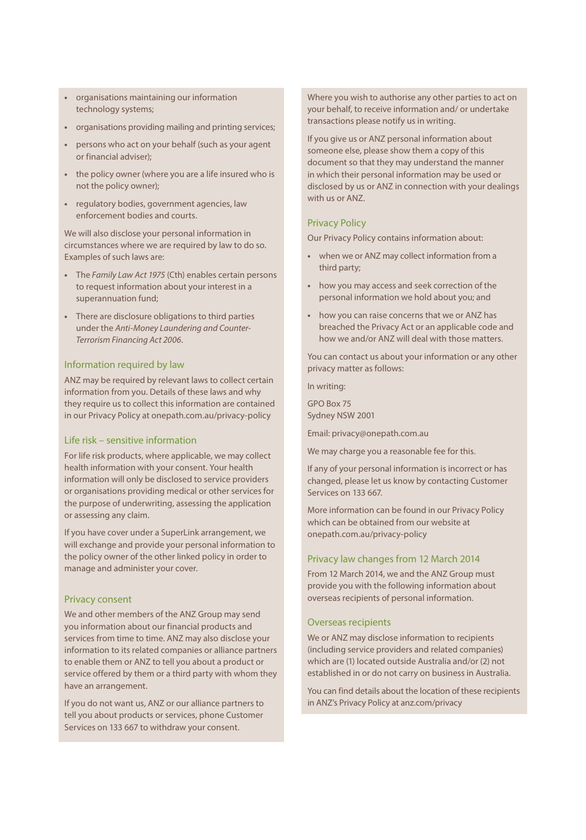- **•** organisations maintaining our information technology systems;
- **•** organisations providing mailing and printing services;
- **•** persons who act on your behalf (such as your agent or financial adviser);
- **•** the policy owner (where you are a life insured who is not the policy owner);
- **•** regulatory bodies, government agencies, law enforcement bodies and courts.

We will also disclose your personal information in circumstances where we are required by law to do so. Examples of such laws are:

- **•** The Family Law Act 1975 (Cth) enables certain persons to request information about your interest in a superannuation fund;
- **•** There are disclosure obligations to third parties under the Anti-Money Laundering and Counter-Terrorism Financing Act 2006.

#### Information required by law

ANZ may be required by relevant laws to collect certain information from you. Details of these laws and why they require us to collect this information are contained in our Privacy Policy at onepath.com.au/privacy-policy

# Life risk – sensitive information

For life risk products, where applicable, we may collect health information with your consent. Your health information will only be disclosed to service providers or organisations providing medical or other services for the purpose of underwriting, assessing the application or assessing any claim.

If you have cover under a SuperLink arrangement, we will exchange and provide your personal information to the policy owner of the other linked policy in order to manage and administer your cover.

#### Privacy consent

We and other members of the ANZ Group may send you information about our financial products and services from time to time. ANZ may also disclose your information to its related companies or alliance partners to enable them or ANZ to tell you about a product or service offered by them or a third party with whom they have an arrangement.

If you do not want us, ANZ or our alliance partners to tell you about products or services, phone Customer Services on 133 667 to withdraw your consent.

Where you wish to authorise any other parties to act on your behalf, to receive information and/ or undertake transactions please notify us in writing.

If you give us or ANZ personal information about someone else, please show them a copy of this document so that they may understand the manner in which their personal information may be used or disclosed by us or ANZ in connection with your dealings with us or ANZ.

# Privacy Policy

Our Privacy Policy contains information about:

- **•** when we or ANZ may collect information from a third party;
- **•** how you may access and seek correction of the personal information we hold about you; and
- **•** how you can raise concerns that we or ANZ has breached the Privacy Act or an applicable code and how we and/or ANZ will deal with those matters.

You can contact us about your information or any other privacy matter as follows:

In writing:

GPO Box 75 Sydney NSW 2001

Email: privacy@onepath.com.au

We may charge you a reasonable fee for this.

If any of your personal information is incorrect or has changed, please let us know by contacting Customer Services on 133 667.

More information can be found in our Privacy Policy which can be obtained from our website at onepath.com.au/privacy-policy

#### Privacy law changes from 12 March 2014

From 12 March 2014, we and the ANZ Group must provide you with the following information about overseas recipients of personal information.

#### Overseas recipients

We or ANZ may disclose information to recipients (including service providers and related companies) which are (1) located outside Australia and/or (2) not established in or do not carry on business in Australia.

You can find details about the location of these recipients in ANZ's Privacy Policy at anz.com/privacy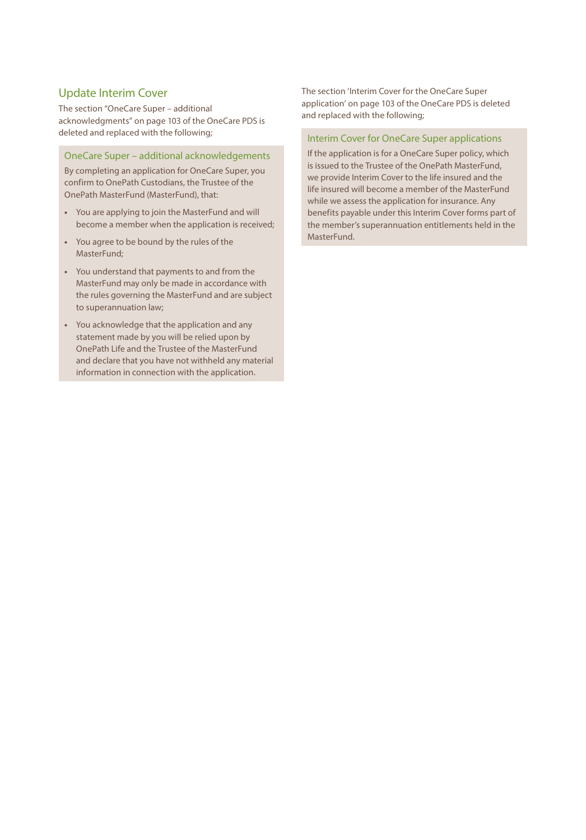# Update Interim Cover

The section "OneCare Super – additional acknowledgments" on page 103 of the OneCare PDS is deleted and replaced with the following;

#### OneCare Super – additional acknowledgements

By completing an application for OneCare Super, you confirm to OnePath Custodians, the Trustee of the OnePath MasterFund (MasterFund), that:

- **•** You are applying to join the MasterFund and will become a member when the application is received;
- **•** You agree to be bound by the rules of the MasterFund;
- **•** You understand that payments to and from the MasterFund may only be made in accordance with the rules governing the MasterFund and are subject to superannuation law;
- **•** You acknowledge that the application and any statement made by you will be relied upon by OnePath Life and the Trustee of the MasterFund and declare that you have not withheld any material information in connection with the application.

The section 'Interim Cover for the OneCare Super application' on page 103 of the OneCare PDS is deleted and replaced with the following;

## Interim Cover for OneCare Super applications

If the application is for a OneCare Super policy, which is issued to the Trustee of the OnePath MasterFund, we provide Interim Cover to the life insured and the life insured will become a member of the MasterFund while we assess the application for insurance. Any benefits payable under this Interim Cover forms part of the member's superannuation entitlements held in the MasterFund.